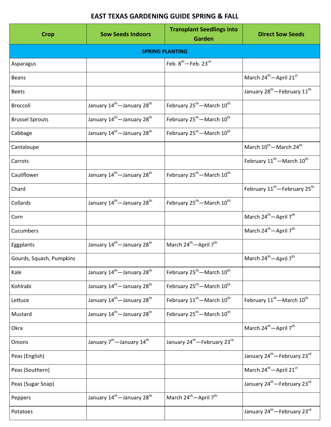## **EAST TEXAS GARDENING GUIDE SPRING & FALL**

| <b>Crop</b>              | <b>Sow Seeds Indoors</b>                           | <b>Transplant Seedlings into</b><br>Garden         | <b>Direct Sow Seeds</b>                              |  |  |  |
|--------------------------|----------------------------------------------------|----------------------------------------------------|------------------------------------------------------|--|--|--|
| <b>SPRING PLANTING</b>   |                                                    |                                                    |                                                      |  |  |  |
| Asparagus                |                                                    | Feb. 8 <sup>th</sup> -Feb. 23rd                    |                                                      |  |  |  |
| <b>Beans</b>             |                                                    |                                                    | March 24 <sup>th</sup> -April 21 <sup>st</sup>       |  |  |  |
| <b>Beets</b>             |                                                    |                                                    | January 28 <sup>th</sup> - February 11 <sup>th</sup> |  |  |  |
| <b>Broccoli</b>          | January 14 <sup>th</sup> —January 28 <sup>th</sup> | February 25 <sup>th</sup> - March 10 <sup>th</sup> |                                                      |  |  |  |
| <b>Brussel Sprouts</b>   | January 14 <sup>th</sup> —January 28 <sup>th</sup> | February 25 <sup>th</sup> - March 10 <sup>th</sup> |                                                      |  |  |  |
| Cabbage                  | January 14 <sup>th</sup> —January 28 <sup>th</sup> | February 25 <sup>th</sup> - March 10 <sup>th</sup> |                                                      |  |  |  |
| Cantaloupe               |                                                    |                                                    | March 10 <sup>th</sup> —March 24 <sup>th</sup>       |  |  |  |
| Carrots                  |                                                    |                                                    | February 11 <sup>th</sup> - March 10 <sup>th</sup>   |  |  |  |
| Cauliflower              | January 14 <sup>th</sup> -January 28 <sup>th</sup> | February 25 <sup>th</sup> - March 10 <sup>th</sup> |                                                      |  |  |  |
| Chard                    |                                                    |                                                    | February 11 <sup>th</sup> -February 25 <sup>th</sup> |  |  |  |
| Collards                 | January 14 <sup>th</sup> —January 28 <sup>th</sup> | February 25 <sup>th</sup> - March 10 <sup>th</sup> |                                                      |  |  |  |
| Corn                     |                                                    |                                                    | March 24 <sup>th</sup> -April 7 <sup>th</sup>        |  |  |  |
| Cucumbers                |                                                    |                                                    | March 24 <sup>th</sup> - April 7 <sup>th</sup>       |  |  |  |
| Eggplants                | January 14 <sup>th</sup> —January 28 <sup>th</sup> | March 24 <sup>th</sup> -April 7 <sup>th</sup>      |                                                      |  |  |  |
| Gourds, Squash, Pumpkins |                                                    |                                                    | March 24 <sup>th</sup> —April 7 <sup>th</sup>        |  |  |  |
| Kale                     | January 14 <sup>th</sup> -January 28 <sup>th</sup> | February 25 <sup>th</sup> - March 10 <sup>th</sup> |                                                      |  |  |  |
| Kohlrabi                 | January 14 <sup>th</sup> —January 28 <sup>th</sup> | February 25 <sup>th</sup> - March 10 <sup>th</sup> |                                                      |  |  |  |
| Lettuce                  | January 14 <sup>th</sup> —January 28 <sup>th</sup> | February 11 <sup>th</sup> —March 10 <sup>th</sup>  | February 11 <sup>th</sup> -March 10 <sup>th</sup>    |  |  |  |
| Mustard                  | January 14 <sup>th</sup> —January 28 <sup>th</sup> | February 25 <sup>th</sup> —March 10 <sup>th</sup>  |                                                      |  |  |  |
| Okra                     |                                                    |                                                    | March 24 <sup>th</sup> - April 7 <sup>th</sup>       |  |  |  |
| Onions                   | January 7 <sup>th</sup> —January 14 <sup>th</sup>  | January 24 <sup>th</sup> -February 23rd            |                                                      |  |  |  |
| Peas (English)           |                                                    |                                                    | January 24 <sup>th</sup> - February 23 <sup>rd</sup> |  |  |  |
| Peas (Southern)          |                                                    |                                                    | March 24 <sup>th</sup> -April 21st                   |  |  |  |
| Peas (Sugar Snap)        |                                                    |                                                    | January 24 <sup>th</sup> —February 23 <sup>rd</sup>  |  |  |  |
| Peppers                  | January 14 <sup>th</sup> —January 28 <sup>th</sup> | March 24 <sup>th</sup> —April 7 <sup>th</sup>      |                                                      |  |  |  |
| Potatoes                 |                                                    |                                                    | January 24 <sup>th</sup> - February 23 <sup>rd</sup> |  |  |  |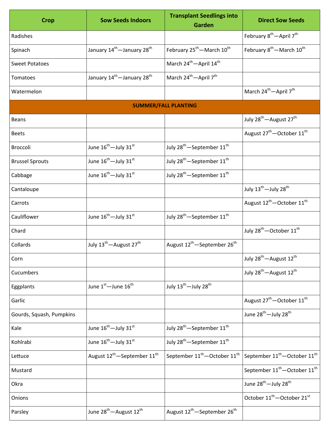| <b>Crop</b>                 | <b>Sow Seeds Indoors</b>                            | <b>Transplant Seedlings into</b><br>Garden           | <b>Direct Sow Seeds</b>                              |  |  |  |
|-----------------------------|-----------------------------------------------------|------------------------------------------------------|------------------------------------------------------|--|--|--|
| Radishes                    |                                                     |                                                      | February 8 <sup>th</sup> -April 7 <sup>th</sup>      |  |  |  |
| Spinach                     | January 14 <sup>th</sup> -January 28 <sup>th</sup>  | February 25 <sup>th</sup> - March 10 <sup>th</sup>   | February 8 <sup>th</sup> - March 10 <sup>th</sup>    |  |  |  |
| <b>Sweet Potatoes</b>       |                                                     | March 24 <sup>th</sup> - April 14 <sup>th</sup>      |                                                      |  |  |  |
| Tomatoes                    | January 14 <sup>th</sup> —January 28 <sup>th</sup>  | March 24 <sup>th</sup> -April 7 <sup>th</sup>        |                                                      |  |  |  |
| Watermelon                  |                                                     |                                                      | March 24 <sup>th</sup> -April 7 <sup>th</sup>        |  |  |  |
| <b>SUMMER/FALL PLANTING</b> |                                                     |                                                      |                                                      |  |  |  |
| <b>Beans</b>                |                                                     |                                                      | July 28 <sup>th</sup> - August 27 <sup>th</sup>      |  |  |  |
| <b>Beets</b>                |                                                     |                                                      | August 27 <sup>th</sup> - October 11 <sup>th</sup>   |  |  |  |
| Broccoli                    | June 16 <sup>th</sup> -July 31 <sup>st</sup>        | July 28 <sup>th</sup> -September 11 <sup>th</sup>    |                                                      |  |  |  |
| <b>Brussel Sprouts</b>      | June $16^{\text{th}}$ -July $31^{\text{st}}$        | July 28 <sup>th</sup> -September 11 <sup>th</sup>    |                                                      |  |  |  |
| Cabbage                     | June 16 <sup>th</sup> —July 31 <sup>st</sup>        | July 28 <sup>th</sup> -September 11 <sup>th</sup>    |                                                      |  |  |  |
| Cantaloupe                  |                                                     |                                                      | July 13 <sup>th</sup> -July 28 <sup>th</sup>         |  |  |  |
| Carrots                     |                                                     |                                                      | August 12 <sup>th</sup> -October 11 <sup>th</sup>    |  |  |  |
| Cauliflower                 | June $16^{\text{th}}$ -July $31^{\text{st}}$        | July 28 <sup>th</sup> -September 11 <sup>th</sup>    |                                                      |  |  |  |
| Chard                       |                                                     |                                                      | July 28 <sup>th</sup> -October 11 <sup>th</sup>      |  |  |  |
| Collards                    | July 13 <sup>th</sup> -August 27 <sup>th</sup>      | August 12 <sup>th</sup> —September 26 <sup>th</sup>  |                                                      |  |  |  |
| Corn                        |                                                     |                                                      | July 28 <sup>th</sup> - August 12 <sup>th</sup>      |  |  |  |
| Cucumbers                   |                                                     |                                                      | July 28 <sup>th</sup> —August 12 <sup>th</sup>       |  |  |  |
| Eggplants                   | June 1st - June 16 <sup>th</sup>                    | July 13 <sup>th</sup> -July 28 <sup>th</sup>         |                                                      |  |  |  |
| Garlic                      |                                                     |                                                      | August 27 <sup>th</sup> - October 11 <sup>th</sup>   |  |  |  |
| Gourds, Squash, Pumpkins    |                                                     |                                                      | June 28 <sup>th</sup> -July 28 <sup>th</sup>         |  |  |  |
| Kale                        | June 16 <sup>th</sup> -July 31st                    | July 28 <sup>th</sup> -September 11 <sup>th</sup>    |                                                      |  |  |  |
| Kohlrabi                    | June 16 <sup>th</sup> -July 31 <sup>st</sup>        | July 28 <sup>th</sup> -September 11 <sup>th</sup>    |                                                      |  |  |  |
| Lettuce                     | August 12 <sup>th</sup> -September 11 <sup>th</sup> | September 11 <sup>th</sup> -October 11 <sup>th</sup> | September $11^{\text{th}}$ -October $11^{\text{th}}$ |  |  |  |
| Mustard                     |                                                     |                                                      | September 11 <sup>th</sup> -October 11 <sup>th</sup> |  |  |  |
| Okra                        |                                                     |                                                      | June 28 <sup>th</sup> -July 28 <sup>th</sup>         |  |  |  |
| Onions                      |                                                     |                                                      | October 11 <sup>th</sup> -October 21 <sup>st</sup>   |  |  |  |
| Parsley                     | June 28 <sup>th</sup> - August 12 <sup>th</sup>     | August 12 <sup>th</sup> -September 26 <sup>th</sup>  |                                                      |  |  |  |